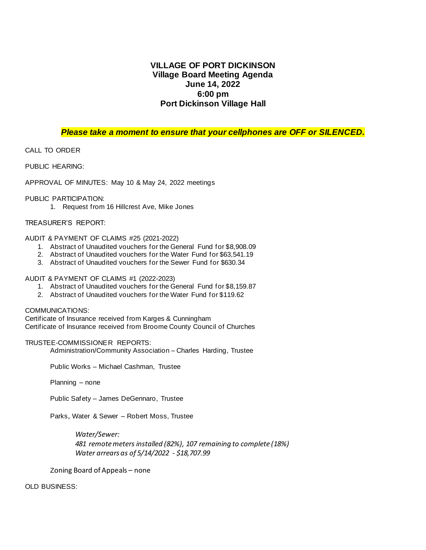### **VILLAGE OF PORT DICKINSON Village Board Meeting Agenda June 14, 2022 6:00 pm Port Dickinson Village Hall**

#### *Please take a moment to ensure that your cellphones are OFF or SILENCED.*

CALL TO ORDER

PUBLIC HEARING:

APPROVAL OF MINUTES: May 10 & May 24, 2022 meetings

#### PUBLIC PARTICIPATION:

1. Request from 16 Hillcrest Ave, Mike Jones

#### TREASURER'S REPORT:

AUDIT & PAYMENT OF CLAIMS #25 (2021-2022)

- 1. Abstract of Unaudited vouchers for the General Fund for \$8,908.09
- 2. Abstract of Unaudited vouchers for the Water Fund for \$63,541.19
- 3. Abstract of Unaudited vouchers for the Sewer Fund for \$630.34

#### AUDIT & PAYMENT OF CLAIMS #1 (2022-2023)

- 1. Abstract of Unaudited vouchers for the General Fund for \$8,159.87
- 2. Abstract of Unaudited vouchers for the Water Fund for \$119.62

#### COMMUNICATIONS:

Certificate of Insurance received from Karges & Cunningham Certificate of Insurance received from Broome County Council of Churches

#### TRUSTEE-COMMISSIONER REPORTS:

Administration/Community Association – Charles Harding, Trustee

Public Works – Michael Cashman, Trustee

Planning – none

Public Safety – James DeGennaro, Trustee

Parks, Water & Sewer – Robert Moss, Trustee

*Water/Sewer: 481 remote meters installed (82%), 107 remaining to complete (18%) Water arrears as of 5/14/2022 - \$18,707.99*

Zoning Board of Appeals – none

OLD BUSINESS: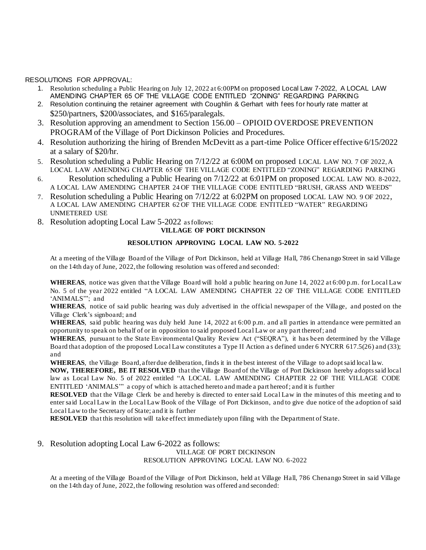RESOLUTIONS FOR APPROVAL:

- 1. Resolution scheduling a Public Hearing on July 12, 2022 at 6:00PM on proposed Local Law 7-2022, A LOCAL LAW AMENDING CHAPTER 65 OF THE VILLAGE CODE ENTITLED "ZONING" REGARDING PARKING
- 2. Resolution continuing the retainer agreement with Coughlin & Gerhart with fees for hourly rate matter at \$250/partners, \$200/associates, and \$165/paralegals.
- 3. Resolution approving an amendment to Section 156.00 OPIOID OVERDOSE PREVENTION PROGRAM of the Village of Port Dickinson Policies and Procedures.
- 4. Resolution authorizing the hiring of Brenden McDevitt as a part-time Police Officer effective 6/15/2022 at a salary of \$20/hr.
- 5. Resolution scheduling a Public Hearing on 7/12/22 at 6:00M on proposed LOCAL LAW NO. 7 OF 2022, A LOCAL LAW AMENDING CHAPTER 65 OF THE VILLAGE CODE ENTITLED "ZONING" REGARDING PARKING
- 6. Resolution scheduling a Public Hearing on 7/12/22 at 6:01PM on proposed LOCAL LAW NO. 8-2022, A LOCAL LAW AMENDING CHAPTER 24 OF THE VILLAGE CODE ENTITLED "BRUSH, GRASS AND WEEDS"
- 7. Resolution scheduling a Public Hearing on 7/12/22 at 6:02PM on proposed LOCAL LAW NO. 9 OF 2022, A LOCAL LAW AMENDING CHAPTER 62 OF THE VILLAGE CODE ENTITLED "WATER" REGARDING UNMETERED USE
- 8. Resolution adopting Local Law 5-2022 as follows:

#### **VILLAGE OF PORT DICKINSON**

#### **RESOLUTION APPROVING LOCAL LAW NO. 5-2022**

At a meeting of the Village Board of the Village of Port Dickinson, held at Village Hall, 786 Chenango Street in said Village on the 14th day of June, 2022, the following resolution was offered and seconded:

**WHEREAS**, notice was given that the Village Board will hold a public hearing on June 14, 2022 at 6:00 p.m. for Local Law No. 5 of the year 2022 entitled "A LOCAL LAW AMENDING CHAPTER 22 OF THE VILLAGE CODE ENTITLED 'ANIMALS'"; and

**WHEREAS**, notice of said public hearing was duly advertised in the official newspaper of the Village, and posted on the Village Clerk's signboard; and

**WHEREAS**, said public hearing was duly held June 14, 2022 at 6:00 p.m. and all parties in attendance were permitted an opportunity to speak on behalf of or in opposition to said proposed Local Law or any part thereof; and

**WHEREAS**, pursuant to the State Environmental Quality Review Act ("SEQRA"), it has been determined by the Village Board that adoption of the proposed Local Law constitutes a Type II Action a s defined under 6 NYCRR 617.5(26) and (33); and

**WHEREAS**, the Village Board, after due deliberation, finds it in the best interest of the Village to adopt said local law.

**NOW, THEREFORE, BE IT RESOLVED** that the Village Board of the Village of Port Dickinson hereby adopts said local law as Local Law No. 5 of 2022 entitled "A LOCAL LAW AMENDING CHAPTER 22 OF THE VILLAGE CODE ENTITLED 'ANIMALS'" a copy of which is attached hereto and made a part hereof; and it is further

**RESOLVED** that the Village Clerk be and hereby is directed to enter said Local Law in the minutes of this meeting and to enter said Local Law in the Local Law Book of the Village of Port Dickinson, and to give due notice of the adoption of said Local Law to the Secretary of State; and it is further

**RESOLVED** that this resolution will take effect immediately upon filing with the Department of State.

9. Resolution adopting Local Law 6-2022 as follows:

#### VILLAGE OF PORT DICKINSON RESOLUTION APPROVING LOCAL LAW NO. 6-2022

At a meeting of the Village Board of the Village of Port Dickinson, held at Village Hall, 786 Chenango Street in said Village on the 14th day of June, 2022, the following resolution was offered and seconded: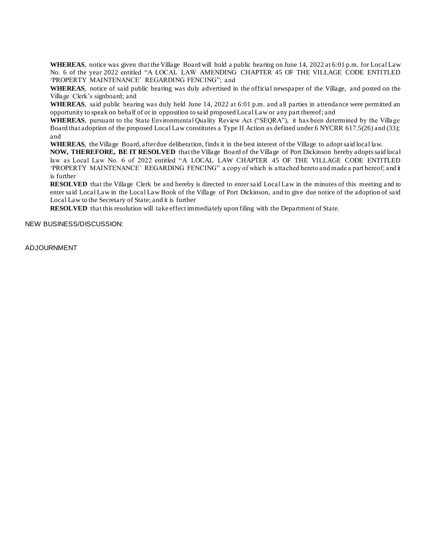**WHEREAS**, notice was given that the Village Board will hold a public hearing on June 14, 2022 at 6:01 p.m. for Local Law No. 6 of the year 2022 entitled "A LOCAL LAW AMENDING CHAPTER 45 OF THE VILLAGE CODE ENTITLED 'PROPERTY MAINTENANCE' REGARDING FENCING"; and

**WHEREAS**, notice of said public hearing was duly advertised in the official newspaper of the Village, and posted on the Village Clerk's signboard; and

**WHEREAS**, said public hearing was duly held June 14, 2022 at 6:01 p.m. and all parties in attendance were permitted an opportunity to speak on behalf of or in opposition to said proposed Local Law or any part thereof; and

**WHEREAS**, pursuant to the State Environmental Quality Review Act ("SEQRA"), it has been determined by the Village Board that adoption of the proposed Local Law constitutes a Type II Action as defined under 6 NYCRR 617.5(26) and (33); and

**WHEREAS**, the Village Board, after due deliberation, finds it in the best interest of the Village to adopt said local law.

**NOW, THEREFORE, BE IT RESOLVED** that the Village Board of the Village of Port Dickinson hereby adopts said local law as Local Law No. 6 of 2022 entitled "A LOCAL LAW CHAPTER 45 OF THE VILLAGE CODE ENTITLED 'PROPERTY MAINTENANCE' REGARDING FENCING" a copy of which is attached hereto and made a part hereof; and it is further

**RESOLVED** that the Village Clerk be and hereby is directed to enter said Local Law in the minutes of this meeting and to enter said Local Law in the Local Law Book of the Village of Port Dickinson, and to give due notice of the adoption of said Local Law to the Secretary of State; and it is further

**RESOLVED** that this resolution will take effect immediately upon filing with the Department of State.

NEW BUSINESS/DISCUSSION:

ADJOURNMENT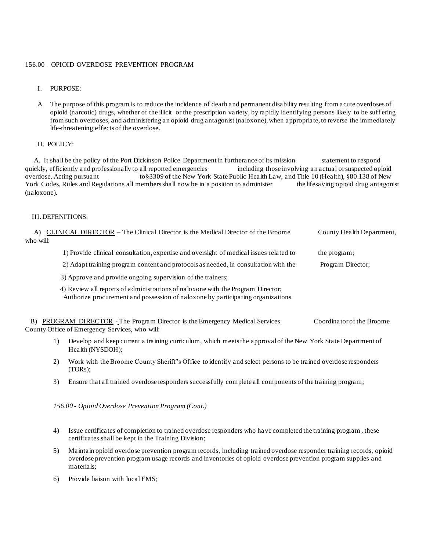#### 156.00 – OPIOID OVERDOSE PREVENTION PROGRAM

I. PURPOSE:

A. The purpose of this program is to reduce the incidence of death and permanent disability resulting from acute overdoses of opioid (narcotic) drugs, whether of the illicit or the prescription variety, by rapidly identifying persons likely to be suff ering from such overdoses, and administering an opioid drug antagonist (naloxone), when appropriate, to reverse the immediately life-threatening effects of the overdose.

II. POLICY:

A. It shall be the policy of the Port Dickinson Police Department in furtherance of its mission statement to respond quickly, efficiently and professionally to all reported emergencies including those involving an actual or suspected opioid overdose. Acting pursuant to§3309 of the New York State Public Health Law, and Title 10 (Health), §80.138 of New York Codes, Rules and Regulations all members shall now be in a position to administer the lifesaving opioid drug antagonist (naloxone).

#### III. DEFENITIONS:

| A)<br>who will: |                                                                                                                                                                    | CLINICAL DIRECTOR – The Clinical Director is the Medical Director of the Broome                                                    | County Health Department, |
|-----------------|--------------------------------------------------------------------------------------------------------------------------------------------------------------------|------------------------------------------------------------------------------------------------------------------------------------|---------------------------|
|                 |                                                                                                                                                                    |                                                                                                                                    |                           |
|                 |                                                                                                                                                                    | 1) Provide clinical consultation, expertise and oversight of medical issues related to                                             | the program;              |
|                 |                                                                                                                                                                    | 2) Adapt training program content and protocols as needed, in consultation with the                                                | Program Director;         |
|                 |                                                                                                                                                                    | 3) Approve and provide ongoing supervision of the trainers;                                                                        |                           |
|                 | 4) Review all reports of administrations of naloxone with the Program Director;<br>Authorize procurement and possession of naloxone by participating organizations |                                                                                                                                    |                           |
| B)              |                                                                                                                                                                    | <b>PROGRAM DIRECTOR</b> - The Program Director is the Emergency Medical Services<br>County Office of Emergency Services, who will: | Coordinator of the Broome |
|                 | 1)                                                                                                                                                                 | Develop and keep current a training curriculum, which meets the approval of the New York State Department of<br>Health (NYSDOH);   |                           |
|                 | 2)                                                                                                                                                                 | Work with the Broome County Sheriff's Office to identify and select persons to be trained overdose responders                      |                           |

3) Ensure that all trained overdose responders successfully complete all components of the training program;

*156.00 - Opioid Overdose Prevention Program (Cont.)*

- 4) Issue certificates of completion to trained overdose responders who have completed the training program , these certificates shall be kept in the Training Division;
- 5) Maintain opioid overdose prevention program records, including trained overdose responder training records, opioid overdose prevention program usage records and inventories of opioid overdose prevention program supplies and materials;
- 6) Provide liaison with local EMS;

(TORs);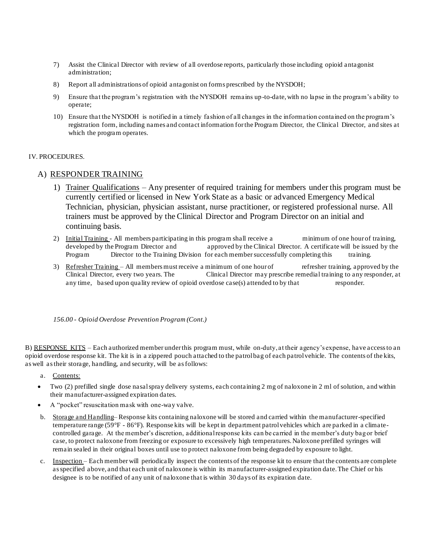- 7) Assist the Clinical Director with review of all overdose reports, particularly those including opioid antagonist administration;
- 8) Report all administrations of opioid antagonist on forms prescribed by the NYSDOH;
- 9) Ensure that the program's registration with the NYSDOH remains up-to-date, with no lapse in the program's ability to operate;
- 10) Ensure that the NYSDOH is notified in a timely fashion of all changes in the information contained on the program's registration form, including names and contact information for the Program Director, the Clinical Director, and sites at which the program operates.

#### IV. PROCEDURES.

#### A) RESPONDER TRAINING

- 1) Trainer Qualifications Any presenter of required training for members under this program must be currently certified or licensed in New York State as a basic or advanced Emergency Medical Technician, physician, physician assistant, nurse practitioner, or registered professional nurse. All trainers must be approved by the Clinical Director and Program Director on an initial and continuing basis.
- 2) Initial Training All members participating in this program shall receive a minimum of one hour of training. developed by the Program Director and approved by the Clinical Director. A certificate will be issued by the Program Director to the Training Division for each member successfully completing this training.
- 3) Refresher Training All members must receive a minimum of one hour of refresher training, approved by the Clinical Director, every two years. The Clinical Director may prescribe remedial training to any responder, at Clinical Director, may prescribe remedial training to any responder, at any time, based upon quality review of opioid overdose case(s) attended to by that responder.

*156.00 - Opioid Overdose Prevention Program (Cont.)*

B) RESPONSE KITS – Each authorized member under this program must, while on-duty, at their agency's expense, have access to an opioid overdose response kit. The kit is in a zippered pouch attached to the patrol bag of each patrol vehicle. The contents of the kits, as well as their storage, handling, and security, will be as follows:

- a. Contents:
- Two (2) prefilled single dose nasal spray delivery systems, each containing 2 mg of naloxone in 2 ml of solution, and within their manufacturer-assigned expiration dates.
- A "pocket" resuscitation mask with one-way valve.
- b. Storage and Handling– Response kits containing naloxone will be stored and carried within the manufacturer-specified temperature range (59°F - 86°F). Response kits will be kept in department patrol vehicles which are parked in a climatecontrolled garage. At the member's discretion, additional response kits can be carried in the member's duty bag or brief case, to protect naloxone from freezing or exposure to excessively high temperatures. Naloxone prefilled syringes will remain sealed in their original boxes until use to protect naloxone from being degraded by exposure to light.
- c. Inspection Each member will periodically inspect the contents of the response kit to ensure that the contents are complete as specified above, and that each unit of naloxone is within its manufacturer-assigned expiration date. The Chief or his designee is to be notified of any unit of naloxone that is within 30 days of its expiration date.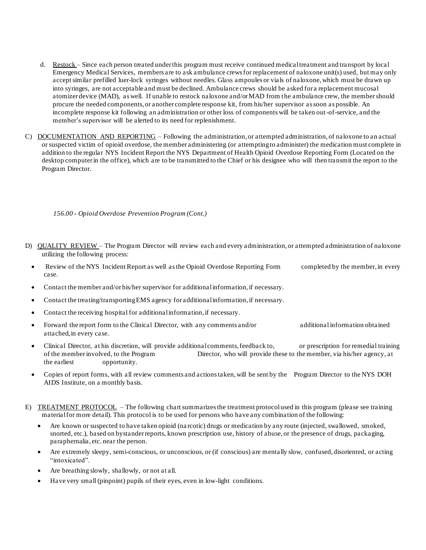- d. Restock Since each person treated under this program must receive continued medical treatment and transport by local Emergency Medical Services, members are to ask ambulance crews for replacement of naloxone unit(s) used, but may only accept similar prefilled luer-lock syringes without needles. Glass ampoules or vials of naloxone, which must be drawn up into syringes, are not acceptable and must be declined. Ambulance crews should be asked for a replacement mucosal atomizer device (MAD), as well. If unable to restock naloxone and/or MAD from the ambulance crew, the membershould procure the needed components, or another complete response kit, from his/her supervisor as soon as possible. An incomplete response kit following an administration or other loss of components will be taken out-of-service, and the member's supervisor will be alerted to its need for replenishment.
- C) DOCUMENTATION AND REPORTING Following the administration, or attempted administration, of naloxone to an actual or suspected victim of opioid overdose, the member administering (or attempting to administer) the medication must complete in addition to the regular NYS Incident Report the NYS Department of Health Opioid Overdose Reporting Form (Located on the desktop computer in the office), which are to be transmitted to the Chief or his designee who will then transmit the report to the Program Director.

*156.00 - Opioid Overdose Prevention Program (Cont.)*

- D) QUALITY REVIEW The Program Director will review each and every administration, or attempted administration of naloxone utilizing the following process:
	- Review of the NYS Incident Report as well as the Opioid Overdose Reporting Form completed by the member, in every case.
	- Contact the member and/or his/her supervisor for additional information, if necessary.
	- Contact the treating/transporting EMS agency for additional information, if necessary.
	- Contact the receiving hospital for additional information, if necessary.
	- Forward the report form to the Clinical Director, with any comments and/or additional information obtained attached, in every case.
	- Clinical Director, at his discretion, will provide additional comments, feedback to, or prescription for remedial training of the memberinvolved, to the Program Director, who will provide these to the member, via his/her agency, at the earliest opportunity.
	- Copies of report forms, with all review comments and actions taken, will be sent by the Program Director to the NYS DOH AIDS Institute, on a monthly basis.
- E) TREATMENT PROTOCOL The following chart summarizes the treatment protocolused in this program (please see training material for more detail). This protocol is to be used for persons who have any combination of the following:
	- Are known or suspected to have taken opioid (na rcotic) drugs or medication by any route (injected, swallowed, smoked, snorted, etc.), based on bystander reports, known prescription use, history of abuse, or the presence of drugs, packaging, paraphernalia, etc. near the person.
	- Are extremely sleepy, semi-conscious, or unconscious, or (if conscious) are mentally slow, confused, disoriented, or acting "intoxicated".
	- Are breathing slowly, shallowly, or not at all.
	- Have very small (pinpoint) pupils of their eyes, even in low-light conditions.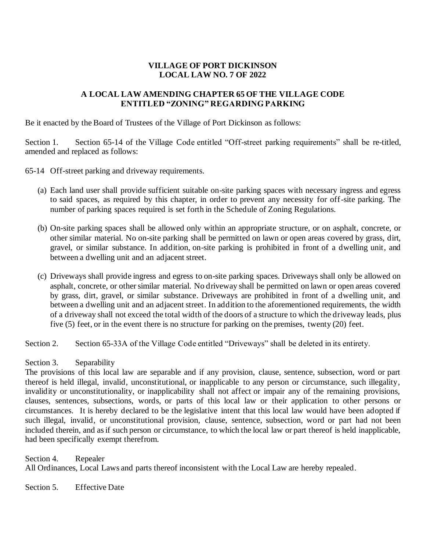# **VILLAGE OF PORT DICKINSON LOCAL LAW NO. 7 OF 2022**

# **A LOCAL LAW AMENDING CHAPTER 65 OF THE VILLAGE CODE ENTITLED "ZONING" REGARDING PARKING**

Be it enacted by the Board of Trustees of the Village of Port Dickinson as follows:

Section 1. Section 65-14 of the Village Code entitled "Off-street parking requirements" shall be re-titled, amended and replaced as follows:

65-14 Off-street parking and driveway requirements.

- (a) Each land user shall provide sufficient suitable on-site parking spaces with necessary ingress and egress to said spaces, as required by this chapter, in order to prevent any necessity for off-site parking. The number of parking spaces required is set forth in the Schedule of Zoning Regulations.
- (b) On-site parking spaces shall be allowed only within an appropriate structure, or on asphalt, concrete, or other similar material. No on-site parking shall be permitted on lawn or open areas covered by grass, dirt, gravel, or similar substance. In addition, on-site parking is prohibited in front of a dwelling unit, and between a dwelling unit and an adjacent street.
- (c) Driveways shall provide ingress and egress to on-site parking spaces. Driveways shall only be allowed on asphalt, concrete, or other similar material. No driveway shall be permitted on lawn or open areas covered by grass, dirt, gravel, or similar substance. Driveways are prohibited in front of a dwelling unit, and between a dwelling unit and an adjacent street. In addition to the aforementioned requirements, the width of a driveway shall not exceed the total width of the doors of a structure to which the driveway leads, plus five (5) feet, or in the event there is no structure for parking on the premises, twenty (20) feet.

Section 2. Section 65-33A of the Village Code entitled "Driveways" shall be deleted in its entirety.

### Section 3. Separability

The provisions of this local law are separable and if any provision, clause, sentence, subsection, word or part thereof is held illegal, invalid, unconstitutional, or inapplicable to any person or circumstance, such illegality, invalidity or unconstitutionality, or inapplicability shall not affect or impair any of the remaining provisions, clauses, sentences, subsections, words, or parts of this local law or their application to other persons or circumstances. It is hereby declared to be the legislative intent that this local law would have been adopted if such illegal, invalid, or unconstitutional provision, clause, sentence, subsection, word or part had not been included therein, and as if such person or circumstance, to which the local law or part thereof is held inapplicable, had been specifically exempt therefrom.

Section 4. Repealer All Ordinances, Local Laws and parts thereof inconsistent with the Local Law are hereby repealed.

Section 5. Effective Date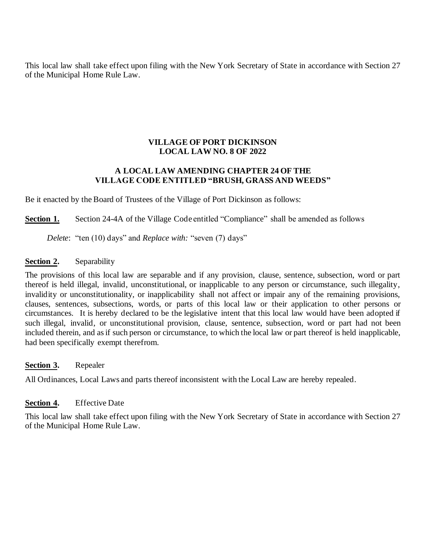This local law shall take effect upon filing with the New York Secretary of State in accordance with Section 27 of the Municipal Home Rule Law.

# **VILLAGE OF PORT DICKINSON LOCAL LAW NO. 8 OF 2022**

### **A LOCAL LAW AMENDING CHAPTER 24 OF THE VILLAGE CODE ENTITLED "BRUSH, GRASS AND WEEDS"**

Be it enacted by the Board of Trustees of the Village of Port Dickinson as follows:

**Section 1.** Section 24-4A of the Village Code entitled "Compliance" shall be amended as follows

*Delete*: "ten (10) days" and *Replace with:* "seven (7) days"

### **Section 2.** Separability

The provisions of this local law are separable and if any provision, clause, sentence, subsection, word or part thereof is held illegal, invalid, unconstitutional, or inapplicable to any person or circumstance, such illegality, invalidity or unconstitutionality, or inapplicability shall not affect or impair any of the remaining provisions, clauses, sentences, subsections, words, or parts of this local law or their application to other persons or circumstances. It is hereby declared to be the legislative intent that this local law would have been adopted if such illegal, invalid, or unconstitutional provision, clause, sentence, subsection, word or part had not been included therein, and as if such person or circumstance, to which the local law or part thereof is held inapplicable, had been specifically exempt therefrom.

**Section 3.** Repealer

All Ordinances, Local Laws and parts thereof inconsistent with the Local Law are hereby repealed.

# **Section 4.** Effective Date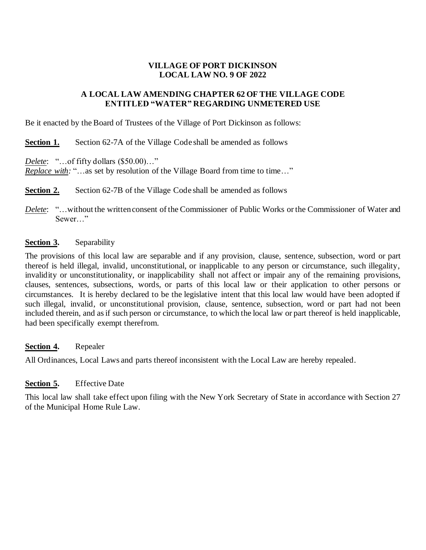# **VILLAGE OF PORT DICKINSON LOCAL LAW NO. 9 OF 2022**

## **A LOCAL LAW AMENDING CHAPTER 62 OF THE VILLAGE CODE ENTITLED "WATER" REGARDING UNMETERED USE**

Be it enacted by the Board of Trustees of the Village of Port Dickinson as follows:

**Section 1.** Section 62-7A of the Village Code shall be amended as follows

*Delete*: "…of fifty dollars (\$50.00)…"

*Replace with:* "...as set by resolution of the Village Board from time to time..."

**Section 2.** Section 62-7B of the Village Code shall be amended as follows

*Delete*: "…without the written consent of the Commissioner of Public Works or the Commissioner of Water and Sewer…"

### **Section 3.** Separability

The provisions of this local law are separable and if any provision, clause, sentence, subsection, word or part thereof is held illegal, invalid, unconstitutional, or inapplicable to any person or circumstance, such illegality, invalidity or unconstitutionality, or inapplicability shall not affect or impair any of the remaining provisions, clauses, sentences, subsections, words, or parts of this local law or their application to other persons or circumstances. It is hereby declared to be the legislative intent that this local law would have been adopted if such illegal, invalid, or unconstitutional provision, clause, sentence, subsection, word or part had not been included therein, and as if such person or circumstance, to which the local law or part thereof is held inapplicable, had been specifically exempt therefrom.

### **Section 4.** Repealer

All Ordinances, Local Laws and parts thereof inconsistent with the Local Law are hereby repealed.

### **Section 5.** Effective Date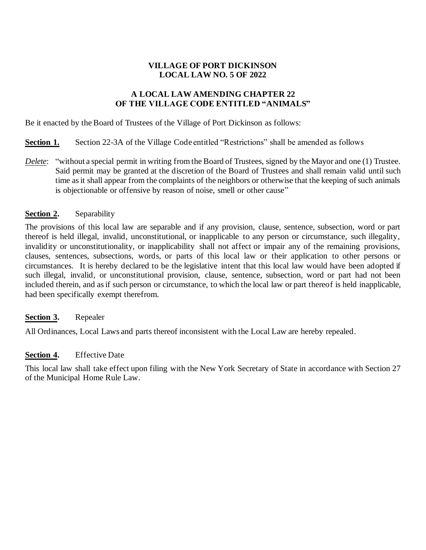# **VILLAGE OF PORT DICKINSON LOCAL LAW NO. 5 OF 2022**

## **A LOCAL LAW AMENDING CHAPTER 22 OF THE VILLAGE CODE ENTITLED "ANIMALS"**

Be it enacted by the Board of Trustees of the Village of Port Dickinson as follows:

- **Section 1.** Section 22-3A of the Village Code entitled "Restrictions" shall be amended as follows
- *Delete*: "without a special permit in writing from the Board of Trustees, signed by the Mayor and one (1) Trustee. Said permit may be granted at the discretion of the Board of Trustees and shall remain valid until such time as it shall appear from the complaints of the neighbors or otherwise that the keeping of such animals is objectionable or offensive by reason of noise, smell or other cause"

### **Section 2.** Separability

The provisions of this local law are separable and if any provision, clause, sentence, subsection, word or part thereof is held illegal, invalid, unconstitutional, or inapplicable to any person or circumstance, such illegality, invalidity or unconstitutionality, or inapplicability shall not affect or impair any of the remaining provisions, clauses, sentences, subsections, words, or parts of this local law or their application to other persons or circumstances. It is hereby declared to be the legislative intent that this local law would have been adopted if such illegal, invalid, or unconstitutional provision, clause, sentence, subsection, word or part had not been included therein, and as if such person or circumstance, to which the local law or part thereof is held inapplicable, had been specifically exempt therefrom.

### **Section 3.** Repealer

All Ordinances, Local Laws and parts thereof inconsistent with the Local Law are hereby repealed.

### **Section 4.** Effective Date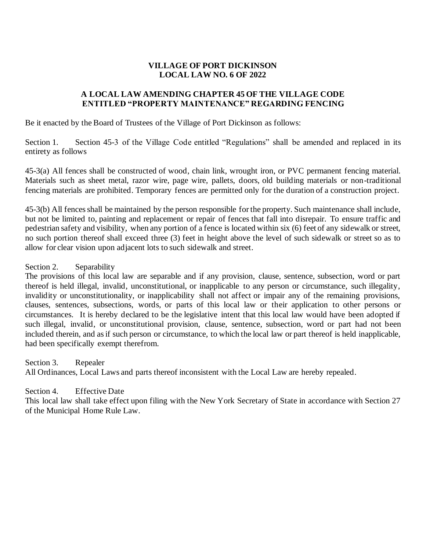## **VILLAGE OF PORT DICKINSON LOCAL LAW NO. 6 OF 2022**

## **A LOCAL LAW AMENDING CHAPTER 45 OF THE VILLAGE CODE ENTITLED "PROPERTY MAINTENANCE" REGARDING FENCING**

Be it enacted by the Board of Trustees of the Village of Port Dickinson as follows:

Section 1. Section 45-3 of the Village Code entitled "Regulations" shall be amended and replaced in its entirety as follows

45-3(a) All fences shall be constructed of wood, chain link, wrought iron, or PVC permanent fencing material. Materials such as sheet metal, razor wire, page wire, pallets, doors, old building materials or non-traditional fencing materials are prohibited. Temporary fences are permitted only for the duration of a construction project.

45-3(b) All fences shall be maintained by the person responsible for the property. Such maintenance shall include, but not be limited to, painting and replacement or repair of fences that fall into disrepair. To ensure traffic and pedestrian safety and visibility, when any portion of a fence is located within six (6) feet of any sidewalk or street, no such portion thereof shall exceed three (3) feet in height above the level of such sidewalk or street so as to allow for clear vision upon adjacent lots to such sidewalk and street.

Section 2. Separability

The provisions of this local law are separable and if any provision, clause, sentence, subsection, word or part thereof is held illegal, invalid, unconstitutional, or inapplicable to any person or circumstance, such illegality, invalidity or unconstitutionality, or inapplicability shall not affect or impair any of the remaining provisions, clauses, sentences, subsections, words, or parts of this local law or their application to other persons or circumstances. It is hereby declared to be the legislative intent that this local law would have been adopted if such illegal, invalid, or unconstitutional provision, clause, sentence, subsection, word or part had not been included therein, and as if such person or circumstance, to which the local law or part thereof is held inapplicable, had been specifically exempt therefrom.

Section 3. Repealer All Ordinances, Local Laws and parts thereof inconsistent with the Local Law are hereby repealed.

Section 4. Effective Date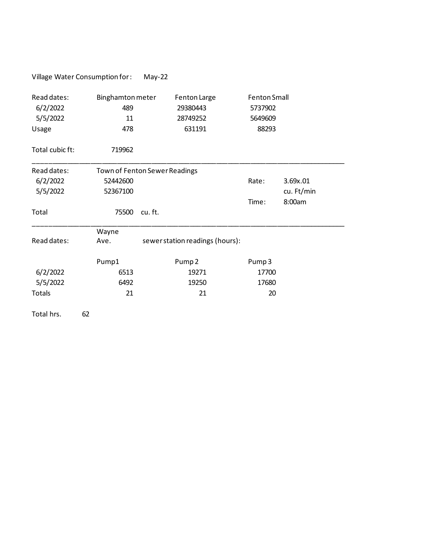|                                              | Village Water Consumption for:       | $May-22$ |                                                |                                                    |            |
|----------------------------------------------|--------------------------------------|----------|------------------------------------------------|----------------------------------------------------|------------|
| Read dates:<br>6/2/2022<br>5/5/2022<br>Usage | Binghamton meter<br>489<br>11<br>478 |          | Fenton Large<br>29380443<br>28749252<br>631191 | <b>Fenton Small</b><br>5737902<br>5649609<br>88293 |            |
| Total cubic ft:                              | 719962                               |          |                                                |                                                    |            |
| Read dates:                                  | Town of Fenton Sewer Readings        |          |                                                |                                                    |            |
| 6/2/2022                                     | 52442600                             |          |                                                | Rate:                                              | 3.69x.01   |
| 5/5/2022                                     | 52367100                             |          |                                                |                                                    | cu. Ft/min |
|                                              |                                      |          |                                                | Time:                                              | 8:00am     |
| Total                                        | 75500                                | cu. ft.  |                                                |                                                    |            |
|                                              | Wayne                                |          |                                                |                                                    |            |
| Read dates:                                  | Ave.                                 |          | sewer station readings (hours):                |                                                    |            |
|                                              | Pump1                                |          | Pump <sub>2</sub>                              | Pump <sub>3</sub>                                  |            |
| 6/2/2022                                     | 6513                                 |          | 19271                                          | 17700                                              |            |
| 5/5/2022                                     | 6492                                 |          | 19250                                          | 17680                                              |            |
| Totals                                       | 21                                   |          | 21                                             | 20                                                 |            |
| Total hrs.                                   | 62                                   |          |                                                |                                                    |            |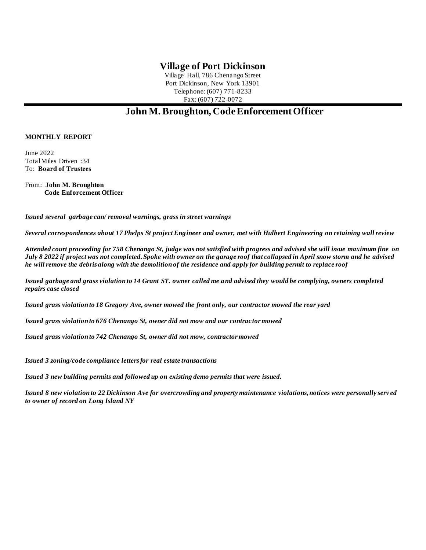# **Village of Port Dickinson**

Village Hall, 786 Chenango Street Port Dickinson, New York 13901 Telephone: (607) 771-8233 Fax: (607) 722-0072

# **John M. Broughton, Code Enforcement Officer**

#### **MONTHLY REPORT**

June 2022 Total Miles Driven :34 To: **Board of Trustees**

From: **John M. Broughton Code Enforcement Officer**

*Issued several garbage can/ removal warnings, grass in street warnings*

*Several correspondences about 17 Phelps St project Engineer and owner, met with Hulbert Engineering on retaining wall review*

*Attended court proceeding for 758 Chenango St, judge was not satisfied with progress and advised she will issue maximum fine on July 8 2022 if project was not completed. Spoke with owner on the garage roof that collapsed in April snow storm and he advised he will remove the debris along with the demolition of the residence and apply for building permit to replace roof*

*Issued garbage and grass violation to 14 Grant ST. owner called me and advised they would be complying, owners completed repairs case closed*

*Issued grass violation to 18 Gregory Ave, owner mowed the front only, our contractor mowed the rear yard*

*Issued grass violation to 676 Chenango St, owner did not mow and our contractor mowed*

*Issued grass violation to 742 Chenango St, owner did not mow, contractor mowed* 

*Issued 3 zoning/code compliance letters for real estate transactions*

*Issued 3 new building permits and followed up on existing demo permits that were issued.*

*Issued 8 new violation to 22 Dickinson Ave for overcrowding and property maintenance violations, notices were personally serv ed to owner of record on Long Island NY*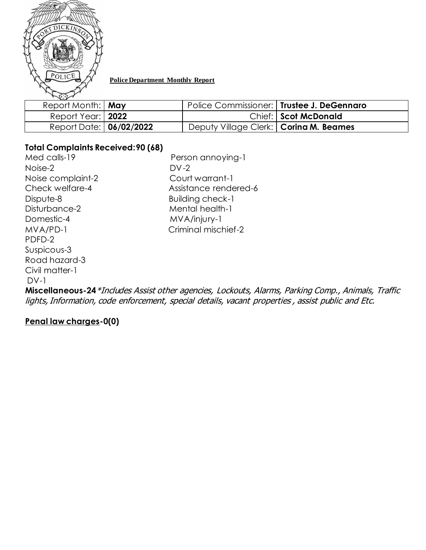

### **Police Department Monthly Report**

| $\sqrt{\cdot}$          |                                          |                                             |
|-------------------------|------------------------------------------|---------------------------------------------|
| Report Month:   May     |                                          | Police Commissioner:   Trustee J. DeGennaro |
| Report Year:   2022     |                                          | Chief: Scot McDonald                        |
| Report Date: 06/02/2022 | Deputy Village Clerk:   Corina M. Beames |                                             |

# **Total Complaints Received:90 (68)**

Med calls-19 Person annoying-1 Noise-2 DV-2 Noise complaint-2 Court warrant-1 Dispute-8 Building check-1 Disturbance-2 Mental health-1 Domestic-4 MVA/injury-1 PDFD-2 Suspicous-3 Road hazard-3 Civil matter-1  $DV-1$ 

Check welfare-4 Assistance rendered-6 MVA/PD-1 Criminal mischief-2

**Miscellaneous-24**\*Includes Assist other agencies, Lockouts, Alarms, Parking Comp., Animals, Traffic lights, Information, code enforcement, special details, vacant properties , assist public and Etc.

# **Penal law charges-0(0)**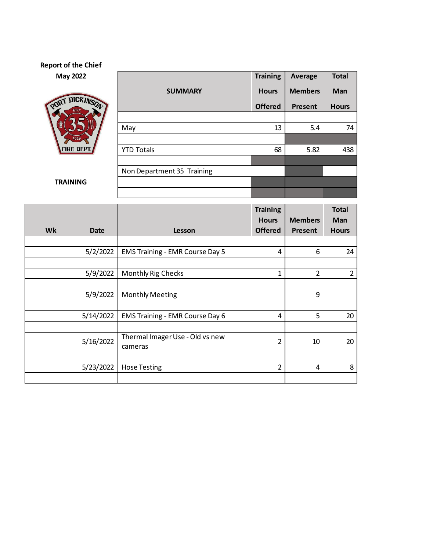# **Report of the Chief**

**May 2022** 



**TRAINING**

|                            | <b>Training</b> | Average        | <b>Total</b> |  |
|----------------------------|-----------------|----------------|--------------|--|
| <b>SUMMARY</b>             | <b>Hours</b>    | <b>Members</b> | Man          |  |
|                            | <b>Offered</b>  | <b>Present</b> | <b>Hours</b> |  |
|                            |                 |                |              |  |
| May                        | 13              | 5.4            | 74           |  |
|                            |                 |                |              |  |
| <b>YTD Totals</b>          | 68              | 5.82           | 438          |  |
|                            |                 |                |              |  |
| Non Department 35 Training |                 |                |              |  |
|                            |                 |                |              |  |
|                            |                 |                |              |  |

|    |             |                                            | <b>Training</b>                |                           | <b>Total</b>               |
|----|-------------|--------------------------------------------|--------------------------------|---------------------------|----------------------------|
| Wk | <b>Date</b> | Lesson                                     | <b>Hours</b><br><b>Offered</b> | <b>Members</b><br>Present | <b>Man</b><br><b>Hours</b> |
|    |             |                                            |                                |                           |                            |
|    | 5/2/2022    | <b>EMS Training - EMR Course Day 5</b>     | 4                              | 6                         | 24                         |
|    |             |                                            |                                |                           |                            |
|    | 5/9/2022    | <b>Monthly Rig Checks</b>                  | $\mathbf{1}$                   | $\overline{2}$            | $\overline{2}$             |
|    |             |                                            |                                |                           |                            |
|    | 5/9/2022    | <b>Monthly Meeting</b>                     |                                | 9                         |                            |
|    |             |                                            |                                |                           |                            |
|    | 5/14/2022   | <b>EMS Training - EMR Course Day 6</b>     | 4                              | 5                         | 20                         |
|    |             |                                            |                                |                           |                            |
|    | 5/16/2022   | Thermal Imager Use - Old vs new<br>cameras | $\overline{2}$                 | 10                        | 20                         |
|    |             |                                            |                                |                           |                            |
|    | 5/23/2022   | <b>Hose Testing</b>                        | $\overline{2}$                 | 4                         | 8                          |
|    |             |                                            |                                |                           |                            |